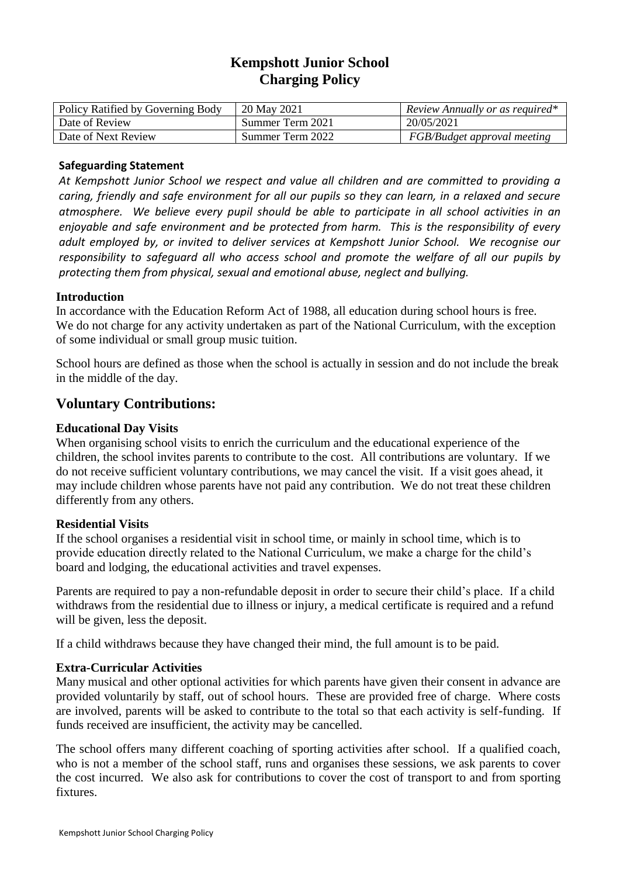# **Kempshott Junior School Charging Policy**

| Policy Ratified by Governing Body | 20 May 2021      | Review Annually or as required* |
|-----------------------------------|------------------|---------------------------------|
| Date of Review                    | Summer Term 2021 | 20/05/2021                      |
| Date of Next Review               | Summer Term 2022 | FGB/Budget approval meeting     |

#### **Safeguarding Statement**

*At Kempshott Junior School we respect and value all children and are committed to providing a caring, friendly and safe environment for all our pupils so they can learn, in a relaxed and secure atmosphere. We believe every pupil should be able to participate in all school activities in an enjoyable and safe environment and be protected from harm. This is the responsibility of every adult employed by, or invited to deliver services at Kempshott Junior School. We recognise our responsibility to safeguard all who access school and promote the welfare of all our pupils by protecting them from physical, sexual and emotional abuse, neglect and bullying.*

## **Introduction**

In accordance with the Education Reform Act of 1988, all education during school hours is free. We do not charge for any activity undertaken as part of the National Curriculum, with the exception of some individual or small group music tuition.

School hours are defined as those when the school is actually in session and do not include the break in the middle of the day.

# **Voluntary Contributions:**

## **Educational Day Visits**

When organising school visits to enrich the curriculum and the educational experience of the children, the school invites parents to contribute to the cost. All contributions are voluntary. If we do not receive sufficient voluntary contributions, we may cancel the visit. If a visit goes ahead, it may include children whose parents have not paid any contribution. We do not treat these children differently from any others.

#### **Residential Visits**

If the school organises a residential visit in school time, or mainly in school time, which is to provide education directly related to the National Curriculum, we make a charge for the child's board and lodging, the educational activities and travel expenses.

Parents are required to pay a non-refundable deposit in order to secure their child's place. If a child withdraws from the residential due to illness or injury, a medical certificate is required and a refund will be given, less the deposit.

If a child withdraws because they have changed their mind, the full amount is to be paid.

#### **Extra-Curricular Activities**

Many musical and other optional activities for which parents have given their consent in advance are provided voluntarily by staff, out of school hours. These are provided free of charge. Where costs are involved, parents will be asked to contribute to the total so that each activity is self-funding. If funds received are insufficient, the activity may be cancelled.

The school offers many different coaching of sporting activities after school. If a qualified coach, who is not a member of the school staff, runs and organises these sessions, we ask parents to cover the cost incurred. We also ask for contributions to cover the cost of transport to and from sporting fixtures.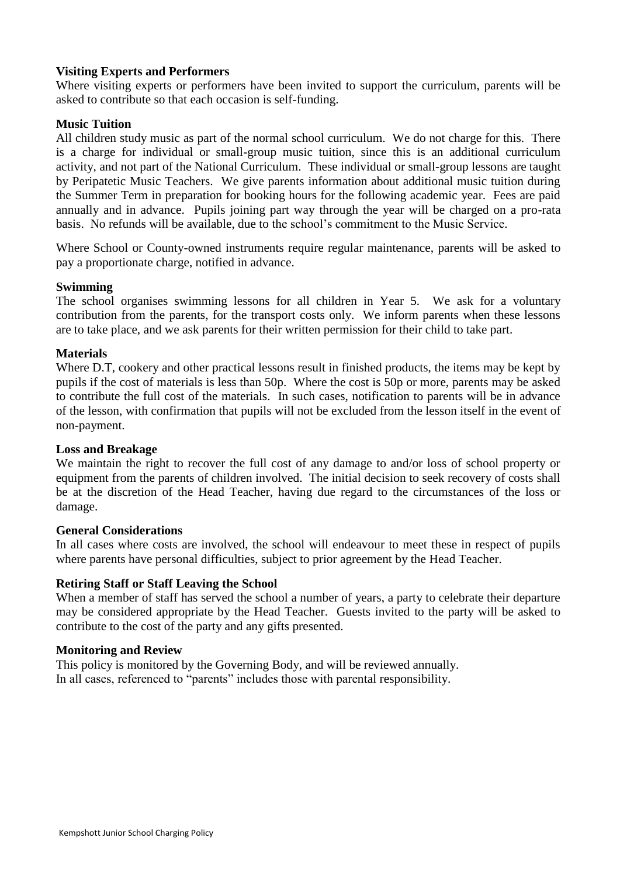## **Visiting Experts and Performers**

Where visiting experts or performers have been invited to support the curriculum, parents will be asked to contribute so that each occasion is self-funding.

### **Music Tuition**

All children study music as part of the normal school curriculum. We do not charge for this. There is a charge for individual or small-group music tuition, since this is an additional curriculum activity, and not part of the National Curriculum. These individual or small-group lessons are taught by Peripatetic Music Teachers. We give parents information about additional music tuition during the Summer Term in preparation for booking hours for the following academic year. Fees are paid annually and in advance. Pupils joining part way through the year will be charged on a pro-rata basis. No refunds will be available, due to the school's commitment to the Music Service.

Where School or County-owned instruments require regular maintenance, parents will be asked to pay a proportionate charge, notified in advance.

#### **Swimming**

The school organises swimming lessons for all children in Year 5. We ask for a voluntary contribution from the parents, for the transport costs only. We inform parents when these lessons are to take place, and we ask parents for their written permission for their child to take part.

#### **Materials**

Where D.T, cookery and other practical lessons result in finished products, the items may be kept by pupils if the cost of materials is less than 50p. Where the cost is 50p or more, parents may be asked to contribute the full cost of the materials. In such cases, notification to parents will be in advance of the lesson, with confirmation that pupils will not be excluded from the lesson itself in the event of non-payment.

#### **Loss and Breakage**

We maintain the right to recover the full cost of any damage to and/or loss of school property or equipment from the parents of children involved. The initial decision to seek recovery of costs shall be at the discretion of the Head Teacher, having due regard to the circumstances of the loss or damage.

#### **General Considerations**

In all cases where costs are involved, the school will endeavour to meet these in respect of pupils where parents have personal difficulties, subject to prior agreement by the Head Teacher.

#### **Retiring Staff or Staff Leaving the School**

When a member of staff has served the school a number of years, a party to celebrate their departure may be considered appropriate by the Head Teacher. Guests invited to the party will be asked to contribute to the cost of the party and any gifts presented.

#### **Monitoring and Review**

This policy is monitored by the Governing Body, and will be reviewed annually. In all cases, referenced to "parents" includes those with parental responsibility.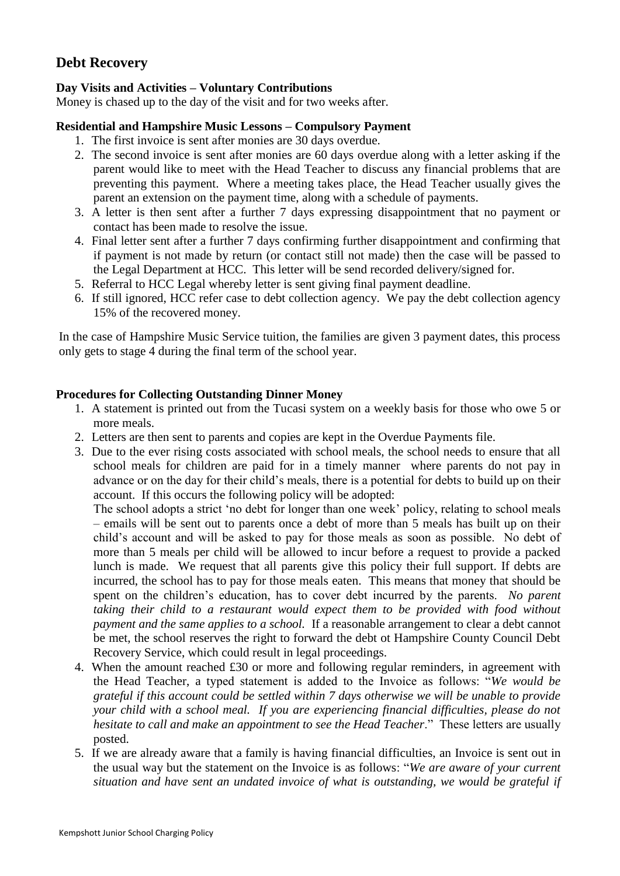# **Debt Recovery**

# **Day Visits and Activities – Voluntary Contributions**

Money is chased up to the day of the visit and for two weeks after.

### **Residential and Hampshire Music Lessons – Compulsory Payment**

- 1. The first invoice is sent after monies are 30 days overdue.
- 2. The second invoice is sent after monies are 60 days overdue along with a letter asking if the parent would like to meet with the Head Teacher to discuss any financial problems that are preventing this payment. Where a meeting takes place, the Head Teacher usually gives the parent an extension on the payment time, along with a schedule of payments.
- 3. A letter is then sent after a further 7 days expressing disappointment that no payment or contact has been made to resolve the issue.
- 4. Final letter sent after a further 7 days confirming further disappointment and confirming that if payment is not made by return (or contact still not made) then the case will be passed to the Legal Department at HCC. This letter will be send recorded delivery/signed for.
- 5. Referral to HCC Legal whereby letter is sent giving final payment deadline.
- 6. If still ignored, HCC refer case to debt collection agency. We pay the debt collection agency 15% of the recovered money.

In the case of Hampshire Music Service tuition, the families are given 3 payment dates, this process only gets to stage 4 during the final term of the school year.

#### **Procedures for Collecting Outstanding Dinner Money**

- 1. A statement is printed out from the Tucasi system on a weekly basis for those who owe 5 or more meals.
- 2. Letters are then sent to parents and copies are kept in the Overdue Payments file.
- 3. Due to the ever rising costs associated with school meals, the school needs to ensure that all school meals for children are paid for in a timely manner where parents do not pay in advance or on the day for their child's meals, there is a potential for debts to build up on their account. If this occurs the following policy will be adopted:

The school adopts a strict 'no debt for longer than one week' policy, relating to school meals – emails will be sent out to parents once a debt of more than 5 meals has built up on their child's account and will be asked to pay for those meals as soon as possible. No debt of more than 5 meals per child will be allowed to incur before a request to provide a packed lunch is made. We request that all parents give this policy their full support. If debts are incurred, the school has to pay for those meals eaten. This means that money that should be spent on the children's education, has to cover debt incurred by the parents. *No parent taking their child to a restaurant would expect them to be provided with food without payment and the same applies to a school.* If a reasonable arrangement to clear a debt cannot be met, the school reserves the right to forward the debt ot Hampshire County Council Debt Recovery Service, which could result in legal proceedings*.*

- 4. When the amount reached £30 or more and following regular reminders, in agreement with the Head Teacher, a typed statement is added to the Invoice as follows: "*We would be grateful if this account could be settled within 7 days otherwise we will be unable to provide your child with a school meal. If you are experiencing financial difficulties, please do not hesitate to call and make an appointment to see the Head Teacher.*" These letters are usually posted.
- 5. If we are already aware that a family is having financial difficulties, an Invoice is sent out in the usual way but the statement on the Invoice is as follows: "*We are aware of your current situation and have sent an undated invoice of what is outstanding, we would be grateful if*